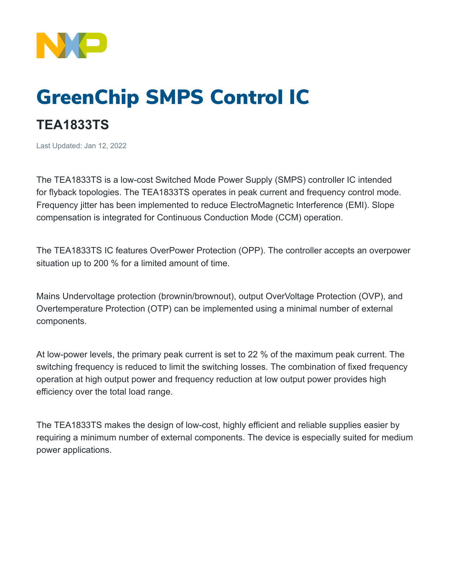

## GreenChip SMPS Control IC

## **TEA1833TS**

Last Updated: Jan 12, 2022

The TEA1833TS is a low-cost Switched Mode Power Supply (SMPS) controller IC intended for flyback topologies. The TEA1833TS operates in peak current and frequency control mode. Frequency jitter has been implemented to reduce ElectroMagnetic Interference (EMI). Slope compensation is integrated for Continuous Conduction Mode (CCM) operation.

The TEA1833TS IC features OverPower Protection (OPP). The controller accepts an overpower situation up to 200 % for a limited amount of time.

Mains Undervoltage protection (brownin/brownout), output OverVoltage Protection (OVP), and Overtemperature Protection (OTP) can be implemented using a minimal number of external components.

At low-power levels, the primary peak current is set to 22 % of the maximum peak current. The switching frequency is reduced to limit the switching losses. The combination of fixed frequency operation at high output power and frequency reduction at low output power provides high efficiency over the total load range.

The TEA1833TS makes the design of low-cost, highly efficient and reliable supplies easier by requiring a minimum number of external components. The device is especially suited for medium power applications.